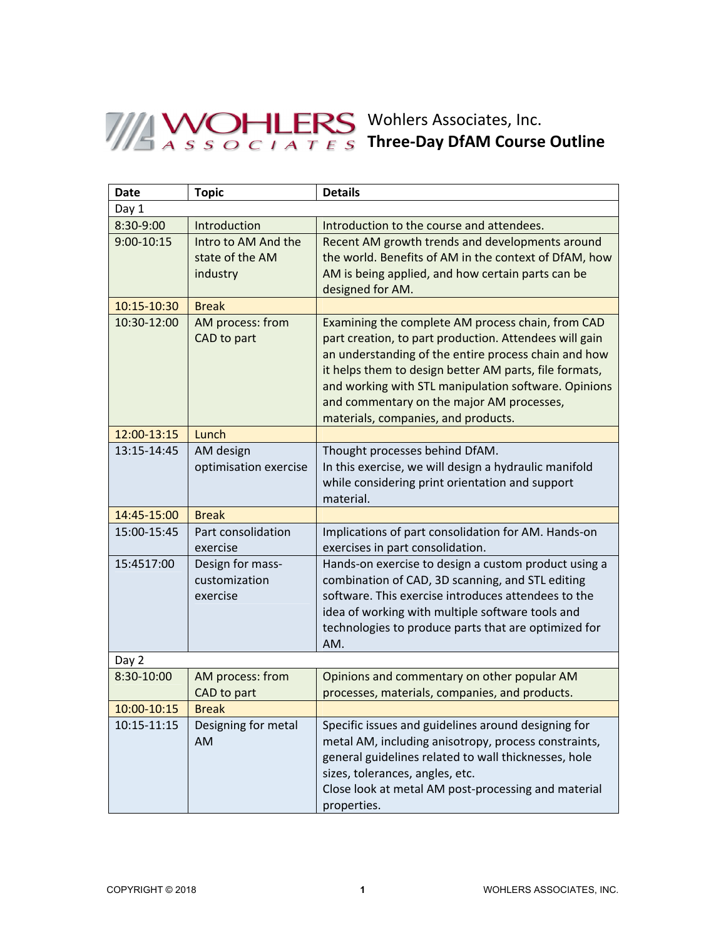## Wohlers Associates, Inc. **Three-Day DfAM Course Outline**

| <b>Date</b> | <b>Topic</b>                                       | <b>Details</b>                                                                                                                                                                                                                                                                                                                                                            |  |
|-------------|----------------------------------------------------|---------------------------------------------------------------------------------------------------------------------------------------------------------------------------------------------------------------------------------------------------------------------------------------------------------------------------------------------------------------------------|--|
| Day 1       |                                                    |                                                                                                                                                                                                                                                                                                                                                                           |  |
| 8:30-9:00   | Introduction                                       | Introduction to the course and attendees.                                                                                                                                                                                                                                                                                                                                 |  |
| 9:00-10:15  | Intro to AM And the<br>state of the AM<br>industry | Recent AM growth trends and developments around<br>the world. Benefits of AM in the context of DfAM, how<br>AM is being applied, and how certain parts can be<br>designed for AM.                                                                                                                                                                                         |  |
| 10:15-10:30 | <b>Break</b>                                       |                                                                                                                                                                                                                                                                                                                                                                           |  |
| 10:30-12:00 | AM process: from<br>CAD to part                    | Examining the complete AM process chain, from CAD<br>part creation, to part production. Attendees will gain<br>an understanding of the entire process chain and how<br>it helps them to design better AM parts, file formats,<br>and working with STL manipulation software. Opinions<br>and commentary on the major AM processes,<br>materials, companies, and products. |  |
| 12:00-13:15 | Lunch                                              |                                                                                                                                                                                                                                                                                                                                                                           |  |
| 13:15-14:45 | AM design<br>optimisation exercise                 | Thought processes behind DfAM.<br>In this exercise, we will design a hydraulic manifold<br>while considering print orientation and support<br>material.                                                                                                                                                                                                                   |  |
| 14:45-15:00 | <b>Break</b>                                       |                                                                                                                                                                                                                                                                                                                                                                           |  |
| 15:00-15:45 | Part consolidation<br>exercise                     | Implications of part consolidation for AM. Hands-on<br>exercises in part consolidation.                                                                                                                                                                                                                                                                                   |  |
| 15:4517:00  | Design for mass-<br>customization<br>exercise      | Hands-on exercise to design a custom product using a<br>combination of CAD, 3D scanning, and STL editing<br>software. This exercise introduces attendees to the<br>idea of working with multiple software tools and<br>technologies to produce parts that are optimized for<br>AM.                                                                                        |  |
| Day 2       |                                                    |                                                                                                                                                                                                                                                                                                                                                                           |  |
| 8:30-10:00  | AM process: from<br>CAD to part                    | Opinions and commentary on other popular AM<br>processes, materials, companies, and products.                                                                                                                                                                                                                                                                             |  |
| 10:00-10:15 | <b>Break</b>                                       |                                                                                                                                                                                                                                                                                                                                                                           |  |
| 10:15-11:15 | Designing for metal<br>AM                          | Specific issues and guidelines around designing for<br>metal AM, including anisotropy, process constraints,<br>general guidelines related to wall thicknesses, hole<br>sizes, tolerances, angles, etc.<br>Close look at metal AM post-processing and material<br>properties.                                                                                              |  |